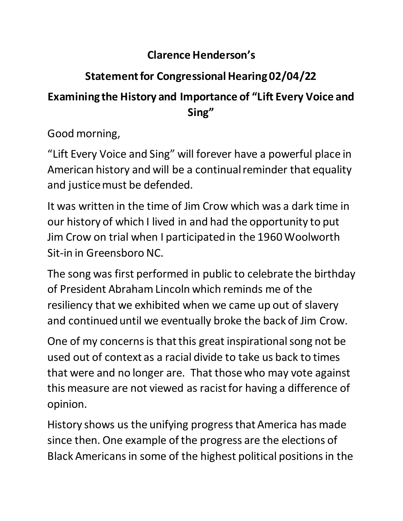## **Clarence Henderson's**

## **Statement for Congressional Hearing 02/04/22**

## **Examining the History and Importance of "Lift Every Voice and Sing"**

Good morning,

"Lift Every Voice and Sing" will forever have a powerful place in American history and will be a continual reminder that equality and justice must be defended.

It was written in the time of Jim Crow which was a dark time in our history of which I lived in and had the opportunity to put Jim Crow on trial when I participated in the 1960 Woolworth Sit-in in Greensboro NC.

The song was first performed in public to celebrate the birthday of President Abraham Lincoln which reminds me of the resiliency that we exhibited when we came up out of slavery and continued until we eventually broke the back of Jim Crow.

One of my concerns is that this great inspirational song not be used out of context as a racial divide to take us back to times that were and no longer are. That those who may vote against this measure are not viewed as racist for having a difference of opinion.

History shows us the unifying progress that America has made since then. One example of the progress are the elections of Black Americans in some of the highest political positions in the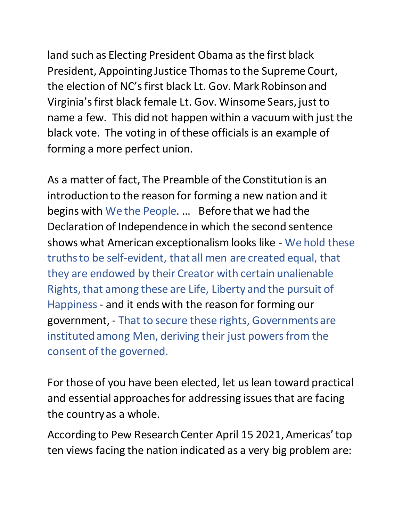land such as Electing President Obama as the first black President, Appointing Justice Thomas to the Supreme Court, the election of NC's first black Lt. Gov. Mark Robinsonand Virginia's first black female Lt. Gov. Winsome Sears, just to name a few. This did not happen within a vacuum with just the black vote. The voting in of these officials is an example of forming a more perfect union.

As a matter of fact, The Preamble of the Constitution is an introduction to the reason for forming a new nation and it begins with We the People. … Before that we had the Declaration of Independence in which the second sentence shows what American exceptionalism looks like - We hold these truths to be self-evident, that all men are created equal, that they are endowed by their Creator with certain unalienable Rights, that among these are Life, Liberty and the pursuit of Happiness- and it ends with the reason for forming our government, - That to secure these rights, Governments are instituted among Men, deriving their just powers from the consent of the governed.

For those of you have been elected, let us lean toward practical and essential approaches for addressing issues that are facing the country as a whole.

According to Pew Research Center April 15 2021, Americas' top ten views facing the nation indicated as a very big problem are: